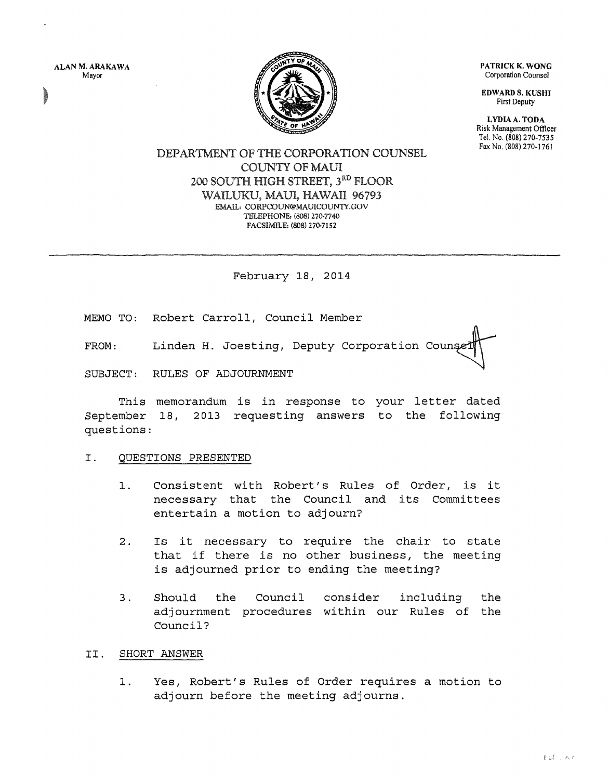ALAN M. ARAKAWA Mayor



PATRICK K. WONG Corporation Counsel

EDWARD S. KUSHI First Deputy

LYDIA A. TODA Risk Management Officer Tel. No. (808) 270-7535 Fax No. (808) 270-1761

# DEPARTMENT OF THE CORPORATION COUNSEL COUNTY OF MAUl 200 SOUTH HIGH STREET, 3RD FLOOR WAILUKU, MAUI, HAWAII 96793 EMAIL: CORPCOUN®MAUICOUNTY.GOV TELEPHONE: (808) 270-7740 FACSIMILE: (808) 270-7152

February 18, 2014

MEMO TO: Robert Carroll, Council Member

FROM: Linden H. Joesting, Deputy Corporation Counse

SUBJECT: RULES OF ADJOURNMENT

This memorandum is in response to your letter dated September 18, questions: 2013 requesting answers to the following

### I. QUESTIONS PRESENTED

- 1. Consistent with Robert's Rules of Order, is it necessary that the Council and its Committees entertain a motion to adjourn?
- 2. Is it necessary to require the chair to state that if there is no other business, the meeting is adjourned prior to ending the meeting?
- 3. Should the adjournment procedures within our Rules of the Council? Council consider including the

## II. SHORT ANSWER

1. Yes, Robert's Rules of Order requires a motion to adjourn before the meeting adjourns.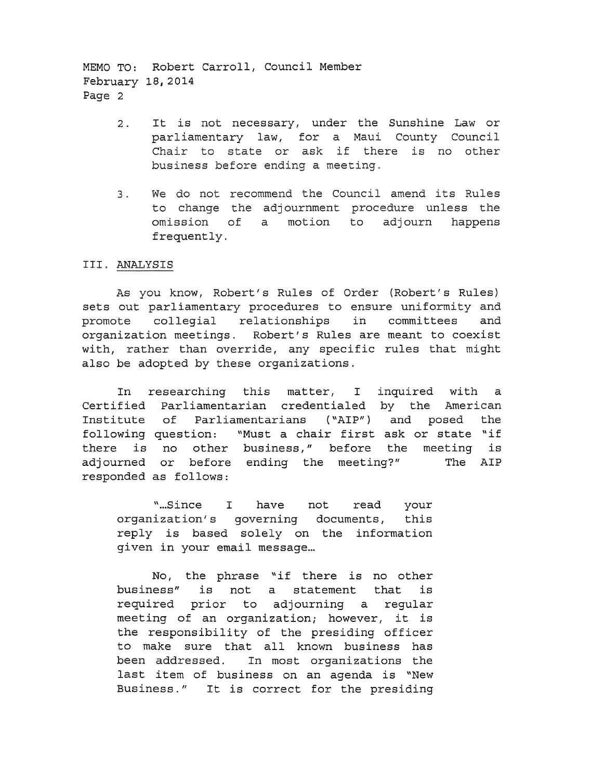MEMO TO: Robert Carroll, Council Member February 18,2014 Page 2

- 2. It is not necessary, under the Sunshine Law or parliamentary law, for a Maui County Council .<br>Chair to state or ask if there is no other business before ending a meeting.
- 3. We do not recommend the Council amend its Rules to change the adjournment procedure unless the omission of a motion to adjourn happens frequently.

### III. ANALYSIS

As you know, Robert's Rules of Order (Robert's Rules) sets out parliamentary procedures to ensure uniformity and promote collegial relationships in committees and organization meetings. Robert's Rules are meant to coexist with, rather than override, any specific rules that might also be adopted by these organizations.

In researching this matter, I inquired with a Certified Parliamentarian credentialed by the American Institute of Parliamentarians ( "AIP") and posed the following question: "Must a chair first ask or state "if there is no other business," before the meeting is adjourned or before ending the meeting?" The AIP responded as follows:

not read your organization's governing documents, this reply is based solely on the information " ... Since I have given in your email message...

No, the phrase "if there is no other business" is not a statement that is required prior to adjourning a regular meeting of an organization; however, it is the responsibility of the presiding officer to make sure that all known business has been addressed. In most organizations the last item of business on an agenda is "New Business." It is correct for the presiding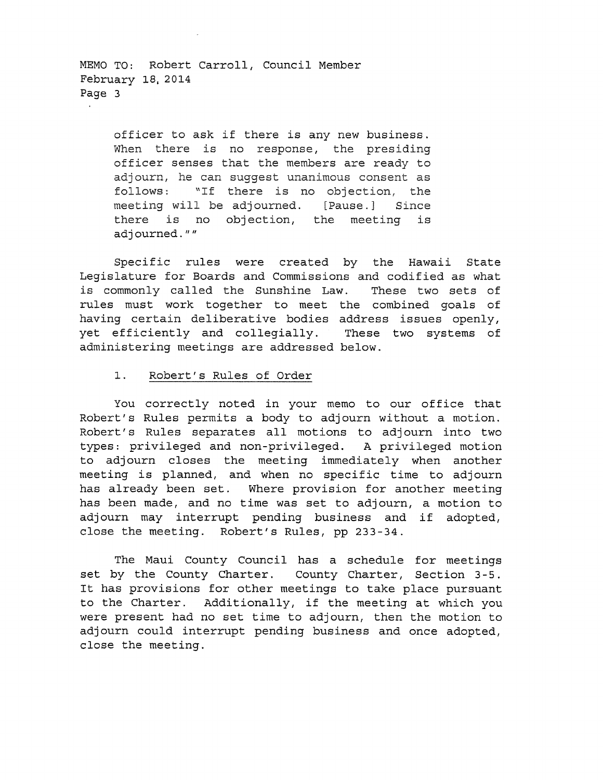MEMO TO: Robert Carroll, Council Member February 18, 2014 Page 3

> officer to ask if there is any new business. When there is no response, the presiding officer senses that the members are ready to adjourn, he can suggest unanimous consent as follows: "If there is no objection, the meeting will be adjourned. [Pause.] Since there is no objection, the meeting is adjourned.""

Specific rules were created by the Hawaii State Legislature for Boards and Commissions and codified as what is commonly called the Sunshine Law. These two sets of rules must work together to meet the combined goals of having certain deliberative bodies address issues openly, yet efficiently and collegially. These two systems of administering meetings are addressed below.

### 1. Robert's Rules of Order

You correctly noted in your memo to our office that Robert's Rules permits a body to adjourn without a motion. Robert's Rules separates all motions to adjourn into two types: privileged and non-privileged. A privileged motion to adjourn closes the meeting immediately when another meeting is planned, and when no specific time to adjourn has already been set. Where provision for another meeting has been made, and no time was set to adjourn, a motion to adjourn may interrupt pending business and if adopted, close the meeting. Robert's Rules, pp 233-34.

The Maui County Council has a schedule for meetings set by the County Charter. County Charter, Section 3-5. It has provisions for other meetings to take place pursuant to the Charter. Additionally, if the meeting at which you were present had no set time to adjourn, then the motion to adjourn could interrupt pending business and once adopted, close the meeting.